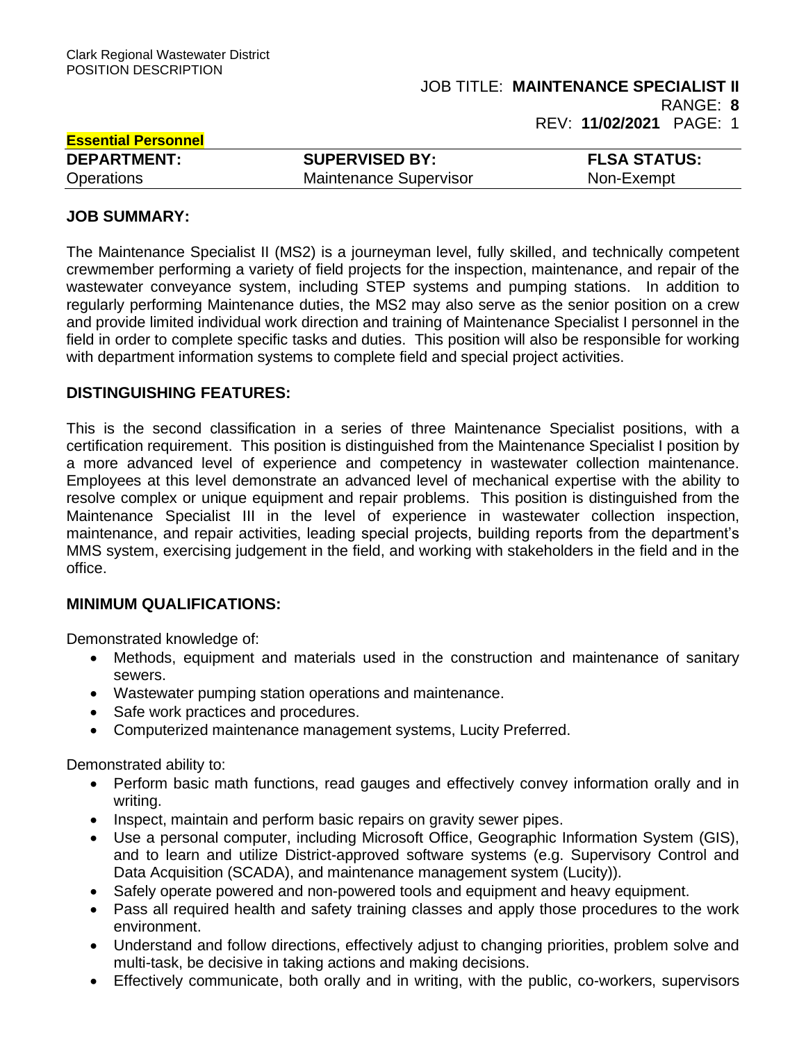# **Essential Personnel DEPARTMENT: SUPERVISED BY: FLSA STATUS:** Operations Maintenance Supervisor Non-Exempt

# **JOB SUMMARY:**

The Maintenance Specialist II (MS2) is a journeyman level, fully skilled, and technically competent crewmember performing a variety of field projects for the inspection, maintenance, and repair of the wastewater conveyance system, including STEP systems and pumping stations. In addition to regularly performing Maintenance duties, the MS2 may also serve as the senior position on a crew and provide limited individual work direction and training of Maintenance Specialist I personnel in the field in order to complete specific tasks and duties. This position will also be responsible for working with department information systems to complete field and special project activities.

# **DISTINGUISHING FEATURES:**

This is the second classification in a series of three Maintenance Specialist positions, with a certification requirement. This position is distinguished from the Maintenance Specialist I position by a more advanced level of experience and competency in wastewater collection maintenance. Employees at this level demonstrate an advanced level of mechanical expertise with the ability to resolve complex or unique equipment and repair problems. This position is distinguished from the Maintenance Specialist III in the level of experience in wastewater collection inspection, maintenance, and repair activities, leading special projects, building reports from the department's MMS system, exercising judgement in the field, and working with stakeholders in the field and in the office.

# **MINIMUM QUALIFICATIONS:**

Demonstrated knowledge of:

- Methods, equipment and materials used in the construction and maintenance of sanitary sewers.
- Wastewater pumping station operations and maintenance.
- Safe work practices and procedures.
- Computerized maintenance management systems, Lucity Preferred.

Demonstrated ability to:

- Perform basic math functions, read gauges and effectively convey information orally and in writing.
- Inspect, maintain and perform basic repairs on gravity sewer pipes.
- Use a personal computer, including Microsoft Office, Geographic Information System (GIS), and to learn and utilize District-approved software systems (e.g. Supervisory Control and Data Acquisition (SCADA), and maintenance management system (Lucity)).
- Safely operate powered and non-powered tools and equipment and heavy equipment.
- Pass all required health and safety training classes and apply those procedures to the work environment.
- Understand and follow directions, effectively adjust to changing priorities, problem solve and multi-task, be decisive in taking actions and making decisions.
- Effectively communicate, both orally and in writing, with the public, co-workers, supervisors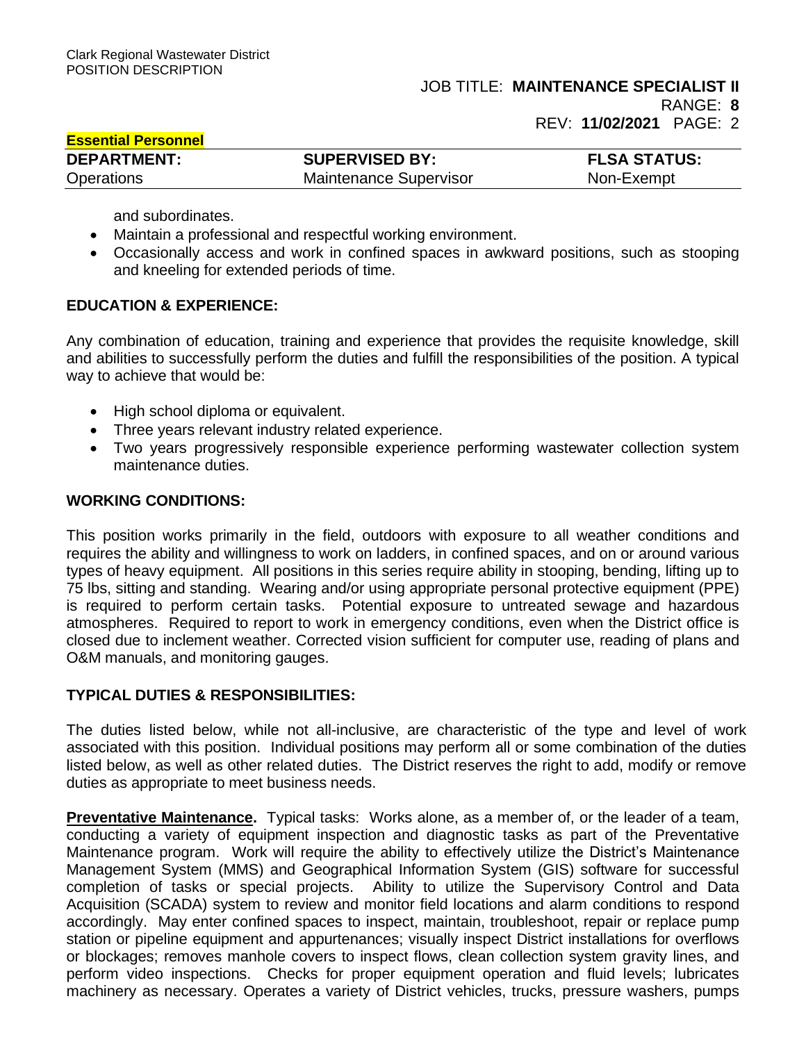**Essential Personnel**

RANGE: **8** 

REV: **11/02/2021** PAGE: 2

| <u>EUUVIILIUI I UIUVIIIIVI</u> |                               |                     |
|--------------------------------|-------------------------------|---------------------|
| <b>DEPARTMENT:</b>             | <b>SUPERVISED BY:</b>         | <b>FLSA STATUS:</b> |
| Operations                     | <b>Maintenance Supervisor</b> | Non-Exempt          |

and subordinates.

- Maintain a professional and respectful working environment.
- Occasionally access and work in confined spaces in awkward positions, such as stooping and kneeling for extended periods of time.

# **EDUCATION & EXPERIENCE:**

Any combination of education, training and experience that provides the requisite knowledge, skill and abilities to successfully perform the duties and fulfill the responsibilities of the position. A typical way to achieve that would be:

- High school diploma or equivalent.
- Three years relevant industry related experience.
- Two years progressively responsible experience performing wastewater collection system maintenance duties.

#### **WORKING CONDITIONS:**

This position works primarily in the field, outdoors with exposure to all weather conditions and requires the ability and willingness to work on ladders, in confined spaces, and on or around various types of heavy equipment. All positions in this series require ability in stooping, bending, lifting up to 75 lbs, sitting and standing. Wearing and/or using appropriate personal protective equipment (PPE) is required to perform certain tasks. Potential exposure to untreated sewage and hazardous atmospheres. Required to report to work in emergency conditions, even when the District office is closed due to inclement weather. Corrected vision sufficient for computer use, reading of plans and O&M manuals, and monitoring gauges.

# **TYPICAL DUTIES & RESPONSIBILITIES:**

The duties listed below, while not all-inclusive, are characteristic of the type and level of work associated with this position. Individual positions may perform all or some combination of the duties listed below, as well as other related duties. The District reserves the right to add, modify or remove duties as appropriate to meet business needs.

**Preventative Maintenance.** Typical tasks: Works alone, as a member of, or the leader of a team, conducting a variety of equipment inspection and diagnostic tasks as part of the Preventative Maintenance program. Work will require the ability to effectively utilize the District's Maintenance Management System (MMS) and Geographical Information System (GIS) software for successful completion of tasks or special projects. Ability to utilize the Supervisory Control and Data Acquisition (SCADA) system to review and monitor field locations and alarm conditions to respond accordingly. May enter confined spaces to inspect, maintain, troubleshoot, repair or replace pump station or pipeline equipment and appurtenances; visually inspect District installations for overflows or blockages; removes manhole covers to inspect flows, clean collection system gravity lines, and perform video inspections. Checks for proper equipment operation and fluid levels; lubricates machinery as necessary. Operates a variety of District vehicles, trucks, pressure washers, pumps